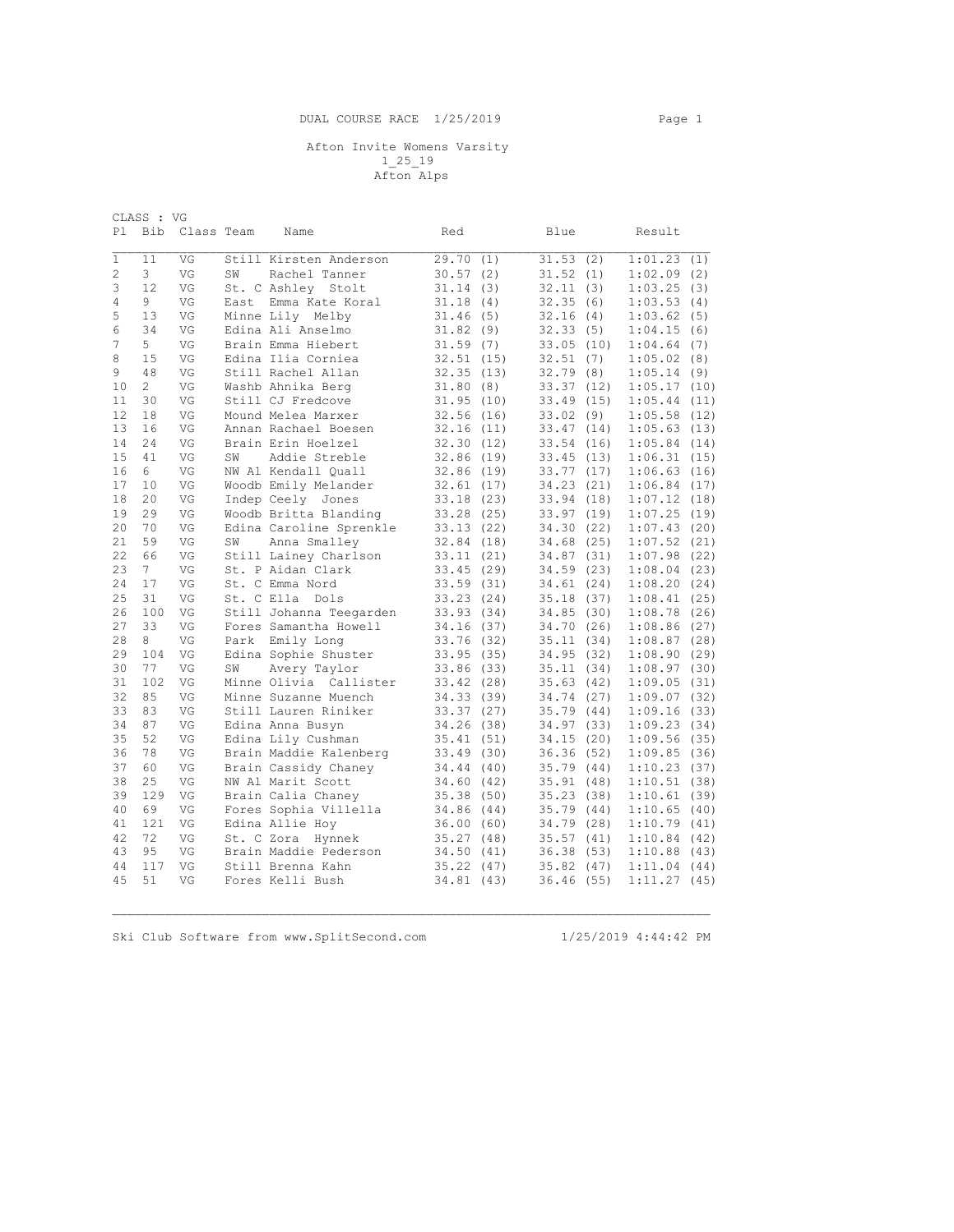CLASS : VG Pl Bib Class Team Name Red Blue Result  $\mathcal{L}_\mathcal{L} = \{ \mathcal{L}_\mathcal{L} = \{ \mathcal{L}_\mathcal{L} = \{ \mathcal{L}_\mathcal{L} = \{ \mathcal{L}_\mathcal{L} = \{ \mathcal{L}_\mathcal{L} = \{ \mathcal{L}_\mathcal{L} = \{ \mathcal{L}_\mathcal{L} = \{ \mathcal{L}_\mathcal{L} = \{ \mathcal{L}_\mathcal{L} = \{ \mathcal{L}_\mathcal{L} = \{ \mathcal{L}_\mathcal{L} = \{ \mathcal{L}_\mathcal{L} = \{ \mathcal{L}_\mathcal{L} = \{ \mathcal{L}_\mathcal{$ 1 11 VG Still Kirsten Anderson 29.70 (1) 31.53 (2) 1:01.23 (1) 2 3 VG SW Rachel Tanner 30.57 (2) 31.52 (1) 1:02.09 (2) 3 12 VG St. C Ashley Stolt 31.14 (3) 32.11 (3) 1:03.25 (3) 4 9 VG East Emma Kate Koral 31.18 (4) 32.35 (6) 1:03.53 (4) 3 12 VG St. CAshley Stolt 31.14 (3) 32.11 (3) 1:03.25 (3)<br>
4 9 VG East Emma Kate Koral 31.18 (4) 32.35 (6) 1:03.53 (4)<br>
5 13 VG Minne Lily Melby 31.46 (5) 32.16 (4) 1:03.62 (5)<br>
6 34 VG Edina Ali Anselmo 31.82 (9) 32.33 (5 G Baina Ali Anselmo 31.82 (9)<br>
1.82 (9)<br>
1.59 (7)<br>
32.51 (15) 32.51 (15) 7 5 VG Brain Emma Hiebert 31.59 (7) 33.05 (10) 1:04.64 (7) 9 15 15 VG Edina Ilia Corniea 32.51 (15)<br>13 15 15 15 16 15 16 16 17 16 17 16 17 16 17 16 17 16 17 16 17 16 17 16 17 16 17 16 17 16 17 16 17 16 17 16 1 9 48 VG Still Rachel Allan 32.35 (13) 32.79 (8) 1:05.14 (9) 10 2 VG Washb Ahnika Berg 31.80 (8) 33.37 (12) 1:05.17 (10) 11 30 VG Still CJ Fredcove 31.95 (10) 33.49 (15) 1:05.44 (11) 12 18 VG Mound Melea Marxer 32.56 (16) 33.02 (9) 1:05.58 (12)<br>13 16 VG Annan Rachael Boesen 32.16 (11) 33.47 (14) 1:05.63 (13)<br>14 24 VG Brain Erin Hoelzel 32.30 (12) 33.54 (16) 1:05.84 (14)<br>15 41 VG SW Addie Streble 32.86 13 16 VG Annan Rachael Boesen<br>14 24 VG Brain Erin Hoelzel 14 24 24 33.54 (14) 1:05.63 (13)<br>33.54 (16) 1:05.84 (14)<br>33.45 (13) 1:06.31 (15) 15 41 VG SW Addie Streble 32.86 (19) 33.45 (13) 1:06.31 (15) 16 6 VG NW Al Kendall Quall 32.86 (19) 33.77 (17) 1:06.63 (16) 17 10 VG Woodb Emily Melander 32.61 (17) 34.23 (21) 1:06.84 (17) 18 20 VG Indep Ceely Jones 33.18 (23) 33.94 (18) 1:07.12 (18) 19 29 VG Woodb Britta Blanding 33.28 (25) 33.97 (19) 1:07.25 (19) 20 70 VG Edina Caroline Sprenkle 33.13 (22) 34.30 (22) 1:07.43 (20) 21 59 VG SW Anna Smalley 32.84 (18) 34.68 (25) 1:07.52 (21) 22 66 VG Still Lainey Charlson 33.11 (21) 34.87 (31) 1:07.98 (22) 23 7 VG St. P Aidan Clark 33.45 (29) 34.59 (23) 1:08.04 (23) 24 17 VG St. C Emma Nord 33.59 (31) 34.61 (24) 1:08.20 (24) 25 31 VG St. C Ella Dols 33.23 (24) 35.18 (37) 1:08.41 (25) 26 100 VG Still Johanna Teegarden 33.93 (34) 34.85 (30) 1:08.78 (26)<br>27 33 VG Fores Samantha Howell 34.16 (37) 34.70 (26) 1:08.86 (27)<br>28 8 VG Park Emily Long 33.76 (32) 35.11 (34) 1:08.87 (28) 27 33 VG Fores Samantha Howell 34.16 (37) 34.70 (26) 1:08.86 (27) 28 8 VG Park Emily Long 33.76 (32) 35.11 (34) 1:08.87 (28) 29 104 VG Edina Sophie Shuster 33.95 (35) 34.95 (32) 1:08.90 (29) 30 77 VG SW Avery Taylor 33.86 (33) 35.11 (34) 1:08.97 (30) 31 102 VG Minne Olivia Callister 33.42 (28) 35.63 (42) 1:09.05 (31) 32 85 VG Minne Suzanne Muench 34.33 (39) 34.74 (27) 1:09.07 (32) 33 83 VG Still Lauren Riniker 33.37 (27) 35.79 (44) 1:09.16 (33) 34 87 VG Edina Anna Busyn 34.26 (38) 34.97 (33) 1:09.23 (34) 35 52 VG Edina Lily Cushman 35.41 (51) 34.15 (20) 1:09.56 (35) 36 78 VG Brain Maddie Kalenberg 33.49 (30) 36.36 (52) 1:09.85 (36) 37 60 VG Brain Cassidy Chaney 34.44 (40) 35.79 (44) 1:10.23 (37) 38 25 VG NW Al Marit Scott 34.60 (42) 35.91 (48) 1:10.51 (38) 39 129 VG Brain Calia Chaney 35.38 (50) 35.23 (38) 1:10.61 (39) 40 69 VG Fores Sophia Villella 34.86 (44) 35.79 (44) 1:10.65 (40) 41 121 VG Edina Allie Hoy 36.00 (60) 34.79 (28) 1:10.79 (41)<br>42 72 VG St. C Zora Hynnek 35.27 (48) 34.79 (28) 1:10.79 (41)<br>43 95 VG Brain Maddie Pederson 34.50 (41) 36.38 (53) 1:10.88 (43)<br>44 117 VG Still Brenna Kahn 35.22  $35.37$   $(53)$   $1:10.88$  (43)<br> $36.38$  (53)  $1:10.84$  (43) 43 95 VG Brain Maddie Pederson 34.50 (41) 36.38 (53) 1:10.88 (43) 44 117 VG Still Brenna Kahn 35.22 (47) 35.82 (47) 1:11.04 (44) 45 51 VG Fores Kelli Bush

 $\mathcal{L}_\mathcal{L} = \{ \mathcal{L}_\mathcal{L} = \{ \mathcal{L}_\mathcal{L} = \{ \mathcal{L}_\mathcal{L} = \{ \mathcal{L}_\mathcal{L} = \{ \mathcal{L}_\mathcal{L} = \{ \mathcal{L}_\mathcal{L} = \{ \mathcal{L}_\mathcal{L} = \{ \mathcal{L}_\mathcal{L} = \{ \mathcal{L}_\mathcal{L} = \{ \mathcal{L}_\mathcal{L} = \{ \mathcal{L}_\mathcal{L} = \{ \mathcal{L}_\mathcal{L} = \{ \mathcal{L}_\mathcal{L} = \{ \mathcal{L}_\mathcal{$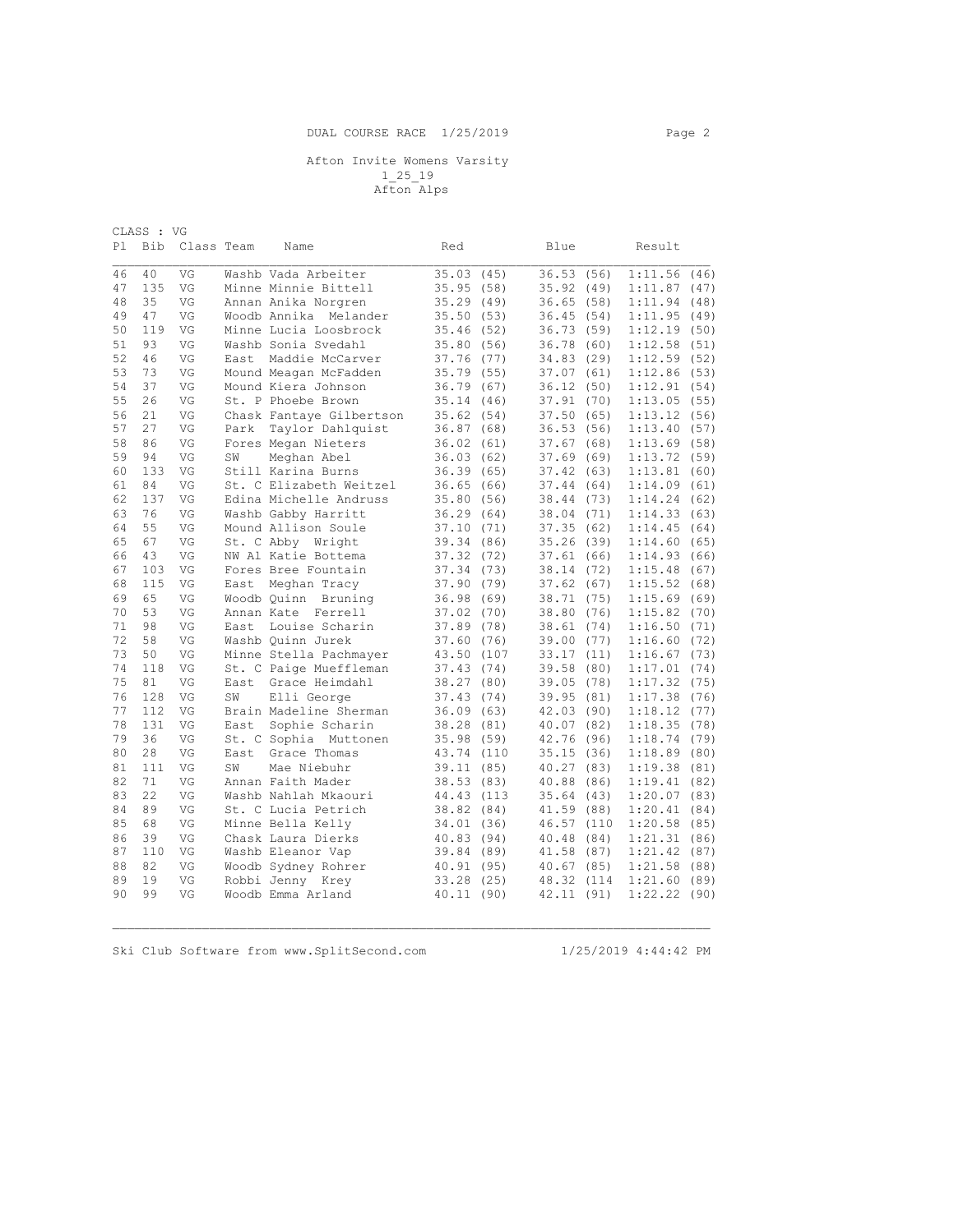| CLASS : VG |     |            |       |                          |           |       |            |       |             |      |
|------------|-----|------------|-------|--------------------------|-----------|-------|------------|-------|-------------|------|
| P1         | Bib | Class Team |       | Name                     | Red       |       | Blue       |       | Result      |      |
|            |     |            |       |                          |           |       |            |       |             |      |
| 46         | 40  | VG         |       | Washb Vada Arbeiter      | 35.03     | (45)  | 36.53      | (56)  | 1:11.56     | (46) |
| 47         | 135 | VG         |       | Minne Minnie Bittell     | 35.95(58) |       | 35.92(49)  |       | 1:11.87(47) |      |
| 48         | 35  | VG         |       | Annan Anika Norgren      | 35.29     | (49)  | 36.65      | (58)  | 1:11.94     | (48) |
| 49         | 47  | VG         |       | Woodb Annika Melander    | 35.50     | (53)  | 36.45      | (54)  | 1:11.95     | (49) |
| 50         | 119 | VG         |       | Minne Lucia Loosbrock    | 35.46     | (52)  | 36.73      | (59)  | 1:12.19     | (50) |
| 51         | 93  | VG         |       | Washb Sonia Svedahl      | 35.80     | (56)  | 36.78      | (60)  | 1:12.58     | (51) |
| 52         | 46  | VG         | East  | Maddie McCarver          | 37.76     | (77)  | 34.83      | (29)  | 1:12.59     | (52) |
| 53         | 73  | VG         |       | Mound Meagan McFadden    | 35.79     | (55)  | 37.07      | (61)  | 1:12.86     | (53) |
| 54         | 37  | VG         |       | Mound Kiera Johnson      | 36.79     | (67)  | 36.12      | (50)  | 1:12.91     | (54) |
| 55         | 26  | VG         |       | St. P Phoebe Brown       | 35.14     | (46)  | 37.91      | (70)  | 1:13.05(55) |      |
| 56         | 21  | VG         |       | Chask Fantaye Gilbertson | 35.62     | (54)  | 37.50      | (65)  | 1:13.12(56) |      |
| 57         | 27  | VG         | Park  | Taylor Dahlquist         | 36.87     | (68)  | 36.53      | (56)  | 1:13.40     | (57) |
| 58         | 86  | VG         |       | Fores Megan Nieters      | 36.02     | (61)  | 37.67      | (68)  | 1:13.69(58) |      |
| 59         | 94  | VG         | SW    | Meghan Abel              | 36.03     | (62)  | 37.69      | (69)  | 1:13.72(59) |      |
| 60         | 133 | VG         |       | Still Karina Burns       | 36.39     | (65)  | 37.42      | (63)  | 1:13.81(60) |      |
| 61         | 84  | VG         |       | St. C Elizabeth Weitzel  | 36.65     | (66)  | 37.44      | (64)  | 1:14.09     | (61) |
| 62         | 137 | VG         |       | Edina Michelle Andruss   | 35.80     | (56)  | 38.44      | (73)  | 1:14.24(62) |      |
| 63         | 76  | VG         |       | Washb Gabby Harritt      | 36.29     | (64)  | 38.04      | (71)  | 1:14.33     | (63) |
| 64         | 55  | VG         |       | Mound Allison Soule      | 37.10     | (71)  | 37.35      | (62)  | 1:14.45     | (64) |
| 65         | 67  | VG         |       | St. C Abby<br>Wright     | 39.34     | (86)  | 35.26(39)  |       | 1:14.60     | (65) |
| 66         | 43  | VG         |       | NW Al Katie Bottema      | 37.32     | (72)  | 37.61      | (66)  | 1:14.93     | (66) |
| 67         | 103 | VG         |       | Fores Bree Fountain      | 37.34     | (73)  | 38.14      | (72)  | 1:15.48     | (67) |
| 68         | 115 | VG         | East  | Meghan Tracy             | 37.90     | (79)  | 37.62(67)  |       | 1:15.52     | (68) |
| 69         | 65  | VG         |       | Bruning<br>Woodb Ouinn   | 36.98     | (69)  | 38.71 (75) |       | 1:15.69(69) |      |
| 70         | 53  | VG         |       | Annan Kate Ferrell       | 37.02     | (70)  | 38.80      | (76)  | 1:15.82     | (70) |
| 71         | 98  | VG         | East. | Louise Scharin           | 37.89     | (78)  | 38.61      | (74)  | 1:16.50(71) |      |
| 72         | 58  | VG         |       | Washb Quinn Jurek        | 37.60     | (76)  | 39.00      | (77)  | 1:16.60     | (72) |
| 73         | 50  | VG         |       | Minne Stella Pachmayer   | 43.50     | (107) | 33.17      | (11)  | 1:16.67     | (73) |
| 74         | 118 | VG         |       | St. C Paige Mueffleman   | 37.43     | (74)  | 39.58      | (80)  | 1:17.01     | (74) |
| 75         | 81  | VG         | East  | Grace Heimdahl           | 38.27     | (80)  | 39.05      | (78)  | 1:17.32     | (75) |
| 76         | 128 | VG         | SW    | Elli George              | 37.43     | (74)  | 39.95      | (81)  | 1:17.38(76) |      |
| 77         | 112 | VG         |       | Brain Madeline Sherman   | 36.09     | (63)  | 42.03      | (90)  | 1:18.12     | (77) |
| 78         | 131 | VG         | East  | Sophie Scharin           | 38.28     | (81)  | 40.07 (82) |       | 1:18.35(78) |      |
| 79         | 36  | VG         |       | St. C Sophia Muttonen    | 35.98     | (59)  | 42.76      | (96)  | 1:18.74(79) |      |
| 80         | 28  | VG         | East  | Grace Thomas             | 43.74     | (110  | 35.15(36)  |       | 1:18.89     | (80) |
| 81         | 111 | VG         | SW    | Mae Niebuhr              | 39.11     | (85)  | 40.27      | (83)  | 1:19.38     | (81) |
| 82         | 71  | VG         |       | Annan Faith Mader        | 38.53     | (83)  | 40.88      | (86)  | 1:19.41     | (82) |
| 83         | 22  | VG         |       | Washb Nahlah Mkaouri     | 44.43     | (113) | 35.64(43)  |       | 1:20.07     | (83) |
| 84         | 89  | VG         |       | St. C Lucia Petrich      | 38.82     | (84)  | 41.59      | (88)  | 1:20.41     | (84) |
| 85         | 68  | VG         |       | Minne Bella Kelly        | 34.01     | (36)  | 46.57      | (110) | 1:20.58     | (85) |
| 86         | 39  | VG         |       | Chask Laura Dierks       | 40.83     | (94)  | 40.48      | (84)  | 1:21.31     | (86) |
| 87         | 110 | VG         |       | Washb Eleanor Vap        | 39.84     | (89)  | 41.58      | (87)  | 1:21.42     | (87) |
| 88         | 82  | VG         |       | Woodb Sydney Rohrer      | 40.91     | (95)  | 40.67      | (85)  | 1:21.58     | (88) |
| 89         | 19  | VG         |       | Robbi Jenny Krey         | 33.28     | (25)  | 48.32      | (114) | 1:21.60     | (89) |
| 90         | 99  | VG         |       | Woodb Emma Arland        | 40.11     | (90)  | 42.11 (91) |       | 1:22.22     | (90) |
|            |     |            |       |                          |           |       |            |       |             |      |

 $\mathcal{L}_\mathcal{L} = \{ \mathcal{L}_\mathcal{L} = \{ \mathcal{L}_\mathcal{L} = \{ \mathcal{L}_\mathcal{L} = \{ \mathcal{L}_\mathcal{L} = \{ \mathcal{L}_\mathcal{L} = \{ \mathcal{L}_\mathcal{L} = \{ \mathcal{L}_\mathcal{L} = \{ \mathcal{L}_\mathcal{L} = \{ \mathcal{L}_\mathcal{L} = \{ \mathcal{L}_\mathcal{L} = \{ \mathcal{L}_\mathcal{L} = \{ \mathcal{L}_\mathcal{L} = \{ \mathcal{L}_\mathcal{L} = \{ \mathcal{L}_\mathcal{$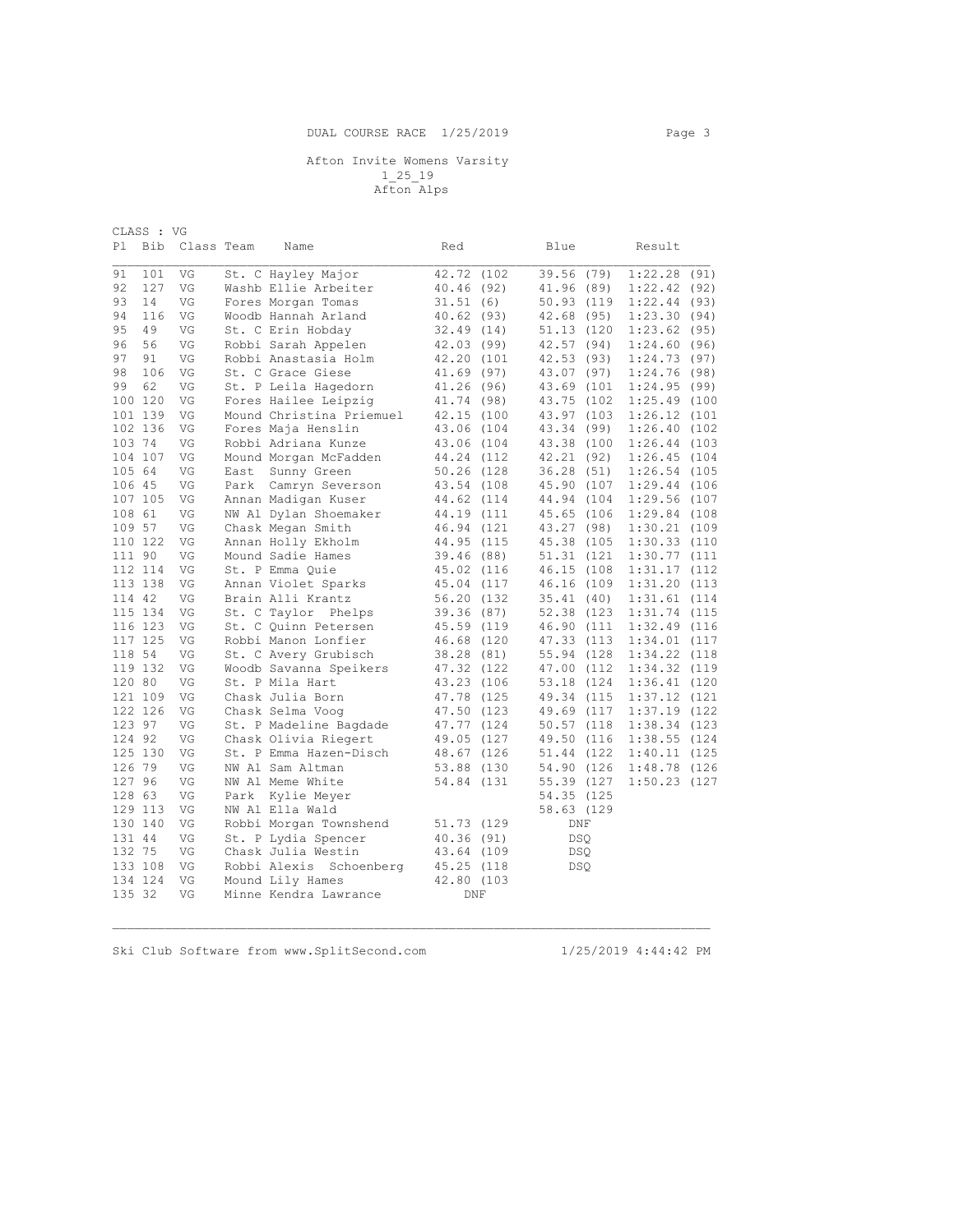| CLASS : VG |         |            |      |                          |              |  |             |                |  |
|------------|---------|------------|------|--------------------------|--------------|--|-------------|----------------|--|
| Pl         | Bib     | Class Team |      | Name                     | Red          |  | Blue        | Result         |  |
|            |         |            |      |                          |              |  |             |                |  |
| 91         | 101     | VG         |      | St. C Hayley Major       | 42.72 (102)  |  | 39.56 (79)  | 1:22.28(91)    |  |
| 92         | 127     | VG         |      | Washb Ellie Arbeiter     | 40.46 (92)   |  | 41.96 (89)  | 1:22.42(92)    |  |
| 93         | 14      | VG         |      | Fores Morgan Tomas       | 31.51(6)     |  | 50.93 (119  | 1:22.44(93)    |  |
| 94         | 116     | VG         |      | Woodb Hannah Arland      | 40.62(93)    |  | 42.68 (95)  | 1:23.30(94)    |  |
| 95         | 49      | VG         |      | St. C Erin Hobday        | 32.49(14)    |  | 51.13 (120  | 1:23.62(95)    |  |
| 96         | 56      | VG         |      | Robbi Sarah Appelen      | 42.03 (99)   |  | 42.57 (94)  | 1:24.60(96)    |  |
| 97         | 91      | VG         |      | Robbi Anastasia Holm     | 42.20 (101   |  | 42.53 (93)  | 1:24.73(97)    |  |
| 98         | 106     | VG         |      | St. C Grace Giese        | $41.69$ (97) |  | 43.07 (97)  | 1:24.76(98)    |  |
| 99         | 62      | VG         |      | St. P Leila Hagedorn     | 41.26 (96)   |  | 43.69 (101  | 1:24.95(99)    |  |
|            | 100 120 | VG         |      | Fores Hailee Leipzig     | 41.74 (98)   |  | 43.75 (102) | $1:25.49$ (100 |  |
|            | 101 139 | VG         |      | Mound Christina Priemuel | 42.15 (100   |  | 43.97 (103) | 1:26.12 (101   |  |
|            | 102 136 | VG         |      | Fores Maja Henslin       | 43.06 (104   |  | 43.34 (99)  | $1:26.40$ (102 |  |
| 103 74     |         | VG         |      | Robbi Adriana Kunze      | 43.06 (104   |  | 43.38 (100  | $1:26.44$ (103 |  |
|            | 104 107 | VG         |      | Mound Morgan McFadden    | 44.24 (112   |  | 42.21 (92)  | $1:26.45$ (104 |  |
| 105 64     |         | VG         | East | Sunny Green              | 50.26 (128   |  | 36.28(51)   | $1:26.54$ (105 |  |
| 106 45     |         | VG         | Park | Camryn Severson          | 43.54 (108   |  | 45.90 (107  | 1:29.44 (106   |  |
|            | 107 105 | VG         |      | Annan Madigan Kuser      | 44.62 (114   |  | 44.94 (104) | 1:29.56 (107   |  |
| 108 61     |         | VG         |      | NW Al Dylan Shoemaker    | 44.19 (111   |  | 45.65 (106  | 1:29.84 (108   |  |
| 109 57     |         | VG         |      | Chask Megan Smith        | 46.94 (121   |  | 43.27 (98)  | $1:30.21$ (109 |  |
|            | 110 122 | VG         |      | Annan Holly Ekholm       | 44.95 (115   |  | 45.38 (105  | 1:30.33 (110   |  |
| 111 90     |         | VG         |      | Mound Sadie Hames        | 39.46 (88)   |  | 51.31 (121  | 1:30.77 (111   |  |
|            | 112 114 | VG         |      | St. P Emma Quie          | 45.02 (116   |  | 46.15 (108) | 1:31.17 (112   |  |
|            | 113 138 | VG         |      | Annan Violet Sparks      | 45.04 (117   |  | 46.16 (109  | 1:31.20 (113   |  |
| 114 42     |         | VG         |      | Brain Alli Krantz        | 56.20 (132   |  | 35.41 (40)  | 1:31.61 (114   |  |
|            | 115 134 | VG         |      | St. C Taylor Phelps      | 39.36 (87)   |  | 52.38 (123  | 1:31.74 (115   |  |
|            | 116 123 | VG         |      | St. C Quinn Petersen     | 45.59 (119   |  | 46.90 (111  | 1:32.49 (116   |  |
|            | 117 125 | VG         |      | Robbi Manon Lonfier      | 46.68 (120   |  | 47.33 (113) | 1:34.01 (117   |  |
| 118 54     |         | VG         |      | St. C Avery Grubisch     | 38.28 (81)   |  | 55.94 (128) | 1:34.22 (118   |  |
|            | 119 132 | VG         |      | Woodb Savanna Speikers   | 47.32 (122)  |  | 47.00 (112) | 1:34.32 (119   |  |
| 120 80     |         | VG         |      | St. P Mila Hart          | 43.23 (106   |  | 53.18 (124) | $1:36.41$ (120 |  |
|            | 121 109 | VG         |      | Chask Julia Born         | 47.78 (125   |  | 49.34 (115  | 1:37.12 (121   |  |
|            | 122 126 | VG         |      | Chask Selma Voog         | 47.50 (123   |  | 49.69 (117  | 1:37.19 (122   |  |
| 123 97     |         | VG         |      | St. P Madeline Bagdade   | 47.77 (124   |  | 50.57 (118  | 1:38.34 (123   |  |
| 124 92     |         | VG         |      | Chask Olivia Riegert     | 49.05 (127   |  | 49.50 (116) | 1:38.55 (124   |  |
|            | 125 130 | VG         |      | St. P Emma Hazen-Disch   | 48.67 (126   |  | 51.44 (122) | $1:40.11$ (125 |  |
| 126 79     |         | VG         |      | NW Al Sam Altman         |              |  |             |                |  |
|            |         |            |      |                          | 53.88 (130   |  | 54.90 (126) | 1:48.78 (126   |  |
| 127 96     |         | VG         |      | NW Al Meme White         | 54.84 (131   |  | 55.39 (127  | 1:50.23 (127   |  |
| 128 63     |         | VG         | Park | Kylie Meyer              |              |  | 54.35 (125  |                |  |
|            | 129 113 | VG         |      | NW Al Ella Wald          |              |  | 58.63 (129  |                |  |
|            | 130 140 | VG         |      | Robbi Morgan Townshend   | 51.73 (129   |  | DNF         |                |  |
| 131 44     |         | VG         |      | St. P Lydia Spencer      | 40.36(91)    |  | <b>DSO</b>  |                |  |
| 132 75     |         | VG         |      | Chask Julia Westin       | 43.64 (109   |  | <b>DSQ</b>  |                |  |
|            | 133 108 | VG         |      | Robbi Alexis Schoenberg  | 45.25 (118   |  | <b>DSQ</b>  |                |  |
|            | 134 124 | VG         |      | Mound Lily Hames         | 42.80 (103   |  |             |                |  |
| 135 32     |         | VG         |      | Minne Kendra Lawrance    | <b>DNF</b>   |  |             |                |  |

 $\mathcal{L}_\mathcal{L} = \{ \mathcal{L}_\mathcal{L} = \{ \mathcal{L}_\mathcal{L} = \{ \mathcal{L}_\mathcal{L} = \{ \mathcal{L}_\mathcal{L} = \{ \mathcal{L}_\mathcal{L} = \{ \mathcal{L}_\mathcal{L} = \{ \mathcal{L}_\mathcal{L} = \{ \mathcal{L}_\mathcal{L} = \{ \mathcal{L}_\mathcal{L} = \{ \mathcal{L}_\mathcal{L} = \{ \mathcal{L}_\mathcal{L} = \{ \mathcal{L}_\mathcal{L} = \{ \mathcal{L}_\mathcal{L} = \{ \mathcal{L}_\mathcal{$